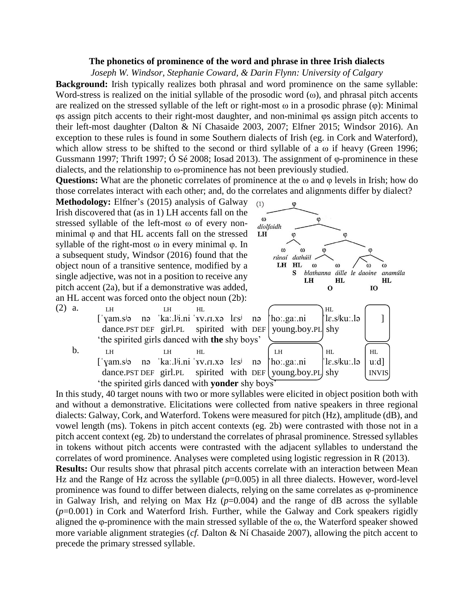## **The phonetics of prominence of the word and phrase in three Irish dialects**

*Joseph W. Windsor, Stephanie Coward, & Darin Flynn: University of Calgary*

**Background:** Irish typically realizes both phrasal and word prominence on the same syllable: Word-stress is realized on the initial syllable of the prosodic word  $(\omega)$ , and phrasal pitch accents are realized on the stressed syllable of the left or right-most  $\omega$  in a prosodic phrase ( $\varphi$ ): Minimal φs assign pitch accents to their right-most daughter, and non-minimal φs assign pitch accents to their left-most daughter (Dalton & Ní Chasaide 2003, 2007; Elfner 2015; Windsor 2016). An exception to these rules is found in some Southern dialects of Irish (eg. in Cork and Waterford), which allow stress to be shifted to the second or third syllable of a  $\omega$  if heavy (Green 1996; Gussmann 1997; Thrift 1997; Ó Sé 2008; Iosad 2013). The assignment of φ-prominence in these dialects, and the relationship to ω-prominence has not been previously studied.

**Questions:** What are the phonetic correlates of prominence at the ω and φ levels in Irish; how do those correlates interact with each other; and, do the correlates and alignments differ by dialect?

**Methodology:** Elfner's (2015) analysis of Galway Irish discovered that (as in 1) LH accents fall on the stressed syllable of the left-most ω of every nonminimal φ and that HL accents fall on the stressed syllable of the right-most  $\omega$  in every minimal  $\varphi$ . In a subsequent study, Windsor (2016) found that the object noun of a transitive sentence, modified by a single adjective, was not in a position to receive any pitch accent (2a), but if a demonstrative was added, an HL accent was forced onto the object noun (2b):

 $(2)$  a. LH LH HL  $\qquad \qquad$ HL  $[$ 'yam.sʲə nə 'kaː.lʲi.ni ˈɤv.ɾɪ.xə lɛsʲ nə |ˈhoː.gaː.ni |ˈlɛ.sʲkuː.lə | ] dance.PST DEF girl.PL spirited with DEF young.boy.PL shy 'the spirited girls danced with **the** shy boys'

b.  $L$ H  $L$  HL  $(L)$   $H$   $H$   $H$  $\int \gamma$ am.s<sup>j</sup>ə nə 'kaː.lʲi.ni 'vv.rɪ.xə lɛs<sup>j</sup> nə |'hoː.gaː.ni ||lɛ.sʲkuː.lə | uːd] dance.PST DEF girl.PL spirited with DEF voung.boy.PL shy  $\vert$  INVIS 'the spirited girls danced with **yonder** shy boys'



In this study, 40 target nouns with two or more syllables were elicited in object position both with and without a demonstrative. Elicitations were collected from native speakers in three regional dialects: Galway, Cork, and Waterford. Tokens were measured for pitch (Hz), amplitude (dB), and vowel length (ms). Tokens in pitch accent contexts (eg. 2b) were contrasted with those not in a pitch accent context (eg. 2b) to understand the correlates of phrasal prominence. Stressed syllables in tokens without pitch accents were contrasted with the adjacent syllables to understand the correlates of word prominence. Analyses were completed using logistic regression in R (2013).

**Results:** Our results show that phrasal pitch accents correlate with an interaction between Mean Hz and the Range of Hz across the syllable ( $p=0.005$ ) in all three dialects. However, word-level prominence was found to differ between dialects, relying on the same correlates as φ-prominence in Galway Irish, and relying on Max Hz  $(p=0.004)$  and the range of dB across the syllable (*p*=0.001) in Cork and Waterford Irish. Further, while the Galway and Cork speakers rigidly aligned the  $\varphi$ -prominence with the main stressed syllable of the  $\omega$ , the Waterford speaker showed more variable alignment strategies (*cf.* Dalton & Ní Chasaide 2007), allowing the pitch accent to precede the primary stressed syllable.